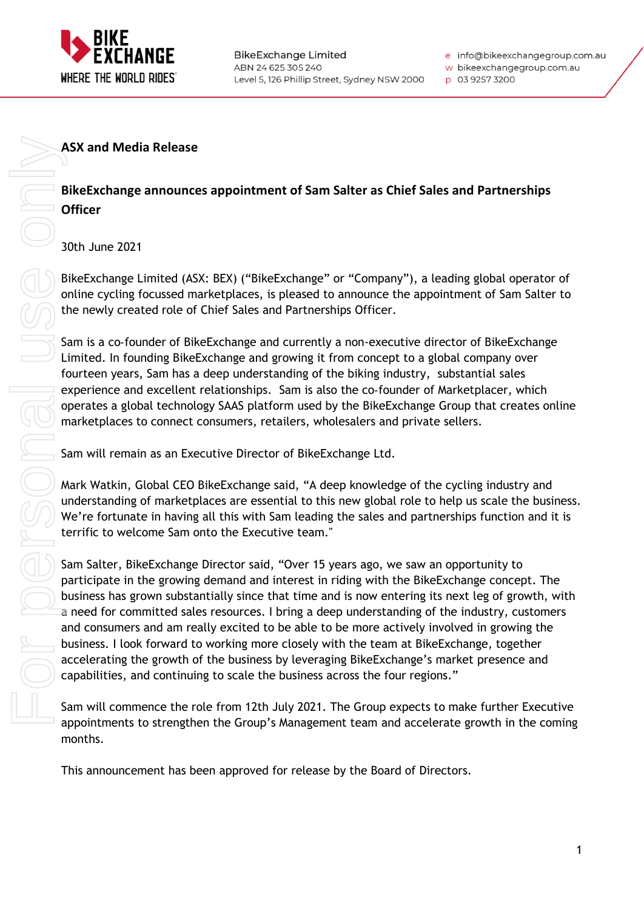

w bikeexchangegroup.com.au

p 03 9257 3200

#### **ASX and Media Release**

### **BikeExchange announces appointment of Sam Salter as Chief Sales and Partnerships Officer**

30th June 2021

BikeExchange Limited (ASX: BEX) ("BikeExchange" or "Company"), a leading global operator of online cycling focussed marketplaces, is pleased to announce the appointment of Sam Salter to the newly created role of Chief Sales and Partnerships Officer.

Sam is a co‑founder of BikeExchange and currently a non-executive director of BikeExchange Limited. In founding BikeExchange and growing it from concept to a global company over fourteen years, Sam has a deep understanding of the biking industry, substantial sales experience and excellent relationships. Sam is also the co-founder of Marketplacer, which operates a global technology SAAS platform used by the BikeExchange Group that creates online marketplaces to connect consumers, retailers, wholesalers and private sellers.

Sam will remain as an Executive Director of BikeExchange Ltd.

Mark Watkin, Global CEO BikeExchange said, "A deep knowledge of the cycling industry and understanding of marketplaces are essential to this new global role to help us scale the business. We're fortunate in having all this with Sam leading the sales and partnerships function and it is terrific to welcome Sam onto the Executive team."

Sam Salter, BikeExchange Director said, "Over 15 years ago, we saw an opportunity to participate in the growing demand and interest in riding with the BikeExchange concept. The business has grown substantially since that time and is now entering its next leg of growth, with a need for committed sales resources. I bring a deep understanding of the industry, customers and consumers and am really excited to be able to be more actively involved in growing the business. I look forward to working more closely with the team at BikeExchange, together accelerating the growth of the business by leveraging BikeExchange's market presence and capabilities, and continuing to scale the business across the four regions." ASX and Media Release<br>
BlikeExchange announces appointment of Sam Salter as Chief Sales and<br>
Officer<br>
30th June 2021<br>
BlikeExchange Limited (ASX: BEX) ("BlikeExchange" or "Company"), a leading<br>
online cycling focussed mate

Sam will commence the role from 12th July 2021. The Group expects to make further Executive appointments to strengthen the Group's Management team and accelerate growth in the coming months.